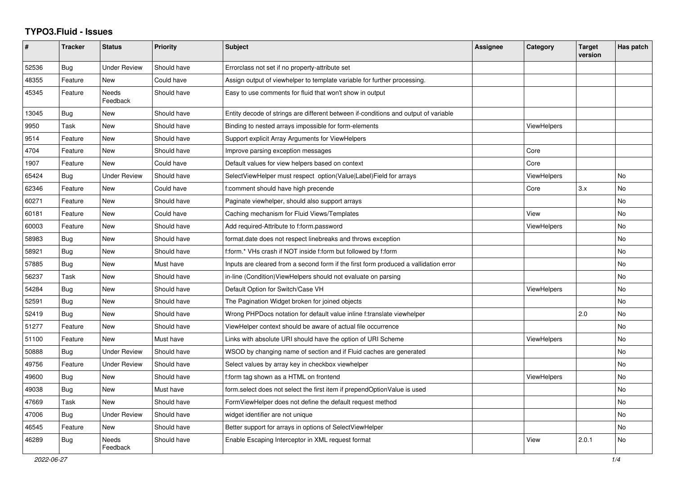## **TYPO3.Fluid - Issues**

| #     | <b>Tracker</b> | <b>Status</b>       | <b>Priority</b> | <b>Subject</b>                                                                       | Assignee | Category           | <b>Target</b><br>version | Has patch |
|-------|----------------|---------------------|-----------------|--------------------------------------------------------------------------------------|----------|--------------------|--------------------------|-----------|
| 52536 | <b>Bug</b>     | Under Review        | Should have     | Errorclass not set if no property-attribute set                                      |          |                    |                          |           |
| 48355 | Feature        | <b>New</b>          | Could have      | Assign output of viewhelper to template variable for further processing.             |          |                    |                          |           |
| 45345 | Feature        | Needs<br>Feedback   | Should have     | Easy to use comments for fluid that won't show in output                             |          |                    |                          |           |
| 13045 | Bug            | New                 | Should have     | Entity decode of strings are different between if-conditions and output of variable  |          |                    |                          |           |
| 9950  | Task           | New                 | Should have     | Binding to nested arrays impossible for form-elements                                |          | ViewHelpers        |                          |           |
| 9514  | Feature        | <b>New</b>          | Should have     | Support explicit Array Arguments for ViewHelpers                                     |          |                    |                          |           |
| 4704  | Feature        | <b>New</b>          | Should have     | Improve parsing exception messages                                                   |          | Core               |                          |           |
| 1907  | Feature        | New                 | Could have      | Default values for view helpers based on context                                     |          | Core               |                          |           |
| 65424 | Bug            | <b>Under Review</b> | Should have     | SelectViewHelper must respect option(Value Label)Field for arrays                    |          | ViewHelpers        |                          | <b>No</b> |
| 62346 | Feature        | New                 | Could have      | f:comment should have high precende                                                  |          | Core               | 3.x                      | No        |
| 60271 | Feature        | New                 | Should have     | Paginate viewhelper, should also support arrays                                      |          |                    |                          | No        |
| 60181 | Feature        | New                 | Could have      | Caching mechanism for Fluid Views/Templates                                          |          | View               |                          | No        |
| 60003 | Feature        | <b>New</b>          | Should have     | Add required-Attribute to f:form.password                                            |          | ViewHelpers        |                          | <b>No</b> |
| 58983 | <b>Bug</b>     | <b>New</b>          | Should have     | format.date does not respect linebreaks and throws exception                         |          |                    |                          | <b>No</b> |
| 58921 | Bug            | New                 | Should have     | f:form.* VHs crash if NOT inside f:form but followed by f:form                       |          |                    |                          | <b>No</b> |
| 57885 | Bug            | New                 | Must have       | Inputs are cleared from a second form if the first form produced a vallidation error |          |                    |                          | <b>No</b> |
| 56237 | Task           | New                 | Should have     | in-line (Condition) View Helpers should not evaluate on parsing                      |          |                    |                          | No        |
| 54284 | Bug            | New                 | Should have     | Default Option for Switch/Case VH                                                    |          | ViewHelpers        |                          | No        |
| 52591 | Bug            | <b>New</b>          | Should have     | The Pagination Widget broken for joined objects                                      |          |                    |                          | <b>No</b> |
| 52419 | <b>Bug</b>     | New                 | Should have     | Wrong PHPDocs notation for default value inline f:translate viewhelper               |          |                    | 2.0                      | <b>No</b> |
| 51277 | Feature        | New                 | Should have     | ViewHelper context should be aware of actual file occurrence                         |          |                    |                          | <b>No</b> |
| 51100 | Feature        | New                 | Must have       | Links with absolute URI should have the option of URI Scheme                         |          | <b>ViewHelpers</b> |                          | <b>No</b> |
| 50888 | Bug            | <b>Under Review</b> | Should have     | WSOD by changing name of section and if Fluid caches are generated                   |          |                    |                          | <b>No</b> |
| 49756 | Feature        | <b>Under Review</b> | Should have     | Select values by array key in checkbox viewhelper                                    |          |                    |                          | No        |
| 49600 | Bug            | New                 | Should have     | f:form tag shown as a HTML on frontend                                               |          | ViewHelpers        |                          | <b>No</b> |
| 49038 | <b>Bug</b>     | New                 | Must have       | form select does not select the first item if prependOptionValue is used             |          |                    |                          | No        |
| 47669 | Task           | New                 | Should have     | FormViewHelper does not define the default request method                            |          |                    |                          | <b>No</b> |
| 47006 | Bug            | Under Review        | Should have     | widget identifier are not unique                                                     |          |                    |                          | No        |
| 46545 | Feature        | New                 | Should have     | Better support for arrays in options of SelectViewHelper                             |          |                    |                          | No        |
| 46289 | <b>Bug</b>     | Needs<br>Feedback   | Should have     | Enable Escaping Interceptor in XML request format                                    |          | View               | 2.0.1                    | <b>No</b> |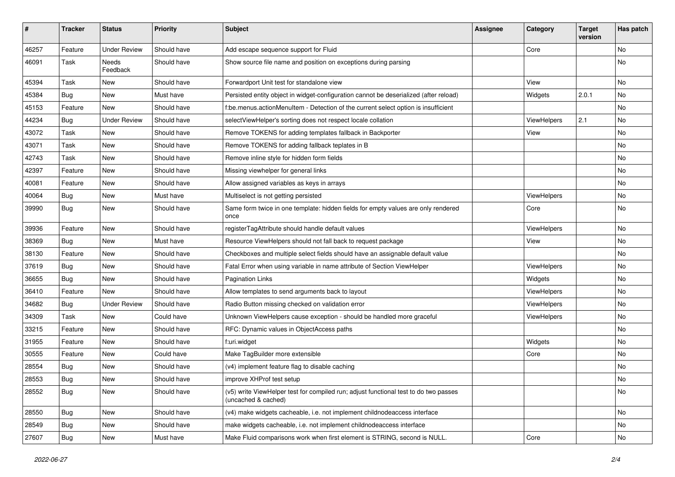| $\sharp$ | <b>Tracker</b> | <b>Status</b>       | <b>Priority</b> | Subject                                                                                                     | <b>Assignee</b> | Category    | <b>Target</b><br>version | Has patch |
|----------|----------------|---------------------|-----------------|-------------------------------------------------------------------------------------------------------------|-----------------|-------------|--------------------------|-----------|
| 46257    | Feature        | <b>Under Review</b> | Should have     | Add escape sequence support for Fluid                                                                       |                 | Core        |                          | <b>No</b> |
| 46091    | Task           | Needs<br>Feedback   | Should have     | Show source file name and position on exceptions during parsing                                             |                 |             |                          | No        |
| 45394    | Task           | New                 | Should have     | Forwardport Unit test for standalone view                                                                   |                 | View        |                          | No        |
| 45384    | Bug            | New                 | Must have       | Persisted entity object in widget-configuration cannot be deserialized (after reload)                       |                 | Widgets     | 2.0.1                    | No        |
| 45153    | Feature        | New                 | Should have     | f:be.menus.actionMenuItem - Detection of the current select option is insufficient                          |                 |             |                          | No        |
| 44234    | Bug            | <b>Under Review</b> | Should have     | selectViewHelper's sorting does not respect locale collation                                                |                 | ViewHelpers | 2.1                      | No        |
| 43072    | Task           | New                 | Should have     | Remove TOKENS for adding templates fallback in Backporter                                                   |                 | View        |                          | No        |
| 43071    | Task           | New                 | Should have     | Remove TOKENS for adding fallback teplates in B                                                             |                 |             |                          | No        |
| 42743    | Task           | New                 | Should have     | Remove inline style for hidden form fields                                                                  |                 |             |                          | No        |
| 42397    | Feature        | New                 | Should have     | Missing viewhelper for general links                                                                        |                 |             |                          | <b>No</b> |
| 40081    | Feature        | New                 | Should have     | Allow assigned variables as keys in arrays                                                                  |                 |             |                          | No        |
| 40064    | Bug            | New                 | Must have       | Multiselect is not getting persisted                                                                        |                 | ViewHelpers |                          | No        |
| 39990    | Bug            | New                 | Should have     | Same form twice in one template: hidden fields for empty values are only rendered<br>once                   |                 | Core        |                          | No        |
| 39936    | Feature        | New                 | Should have     | registerTagAttribute should handle default values                                                           |                 | ViewHelpers |                          | No        |
| 38369    | Bug            | New                 | Must have       | Resource ViewHelpers should not fall back to request package                                                |                 | View        |                          | No        |
| 38130    | Feature        | New                 | Should have     | Checkboxes and multiple select fields should have an assignable default value                               |                 |             |                          | No        |
| 37619    | Bug            | <b>New</b>          | Should have     | Fatal Error when using variable in name attribute of Section ViewHelper                                     |                 | ViewHelpers |                          | <b>No</b> |
| 36655    | Bug            | New                 | Should have     | Pagination Links                                                                                            |                 | Widgets     |                          | No        |
| 36410    | Feature        | New                 | Should have     | Allow templates to send arguments back to layout                                                            |                 | ViewHelpers |                          | No        |
| 34682    | Bug            | <b>Under Review</b> | Should have     | Radio Button missing checked on validation error                                                            |                 | ViewHelpers |                          | No        |
| 34309    | Task           | New                 | Could have      | Unknown ViewHelpers cause exception - should be handled more graceful                                       |                 | ViewHelpers |                          | No        |
| 33215    | Feature        | New                 | Should have     | RFC: Dynamic values in ObjectAccess paths                                                                   |                 |             |                          | <b>No</b> |
| 31955    | Feature        | New                 | Should have     | f:uri.widget                                                                                                |                 | Widgets     |                          | No        |
| 30555    | Feature        | New                 | Could have      | Make TagBuilder more extensible                                                                             |                 | Core        |                          | No        |
| 28554    | Bug            | New                 | Should have     | (v4) implement feature flag to disable caching                                                              |                 |             |                          | No        |
| 28553    | Bug            | New                 | Should have     | improve XHProf test setup                                                                                   |                 |             |                          | No        |
| 28552    | Bug            | New                 | Should have     | (v5) write ViewHelper test for compiled run; adjust functional test to do two passes<br>(uncached & cached) |                 |             |                          | No        |
| 28550    | Bug            | New                 | Should have     | (v4) make widgets cacheable, i.e. not implement childnodeaccess interface                                   |                 |             |                          | No        |
| 28549    | Bug            | New                 | Should have     | make widgets cacheable, i.e. not implement childnodeaccess interface                                        |                 |             |                          | No        |
| 27607    | Bug            | New                 | Must have       | Make Fluid comparisons work when first element is STRING, second is NULL.                                   |                 | Core        |                          | No        |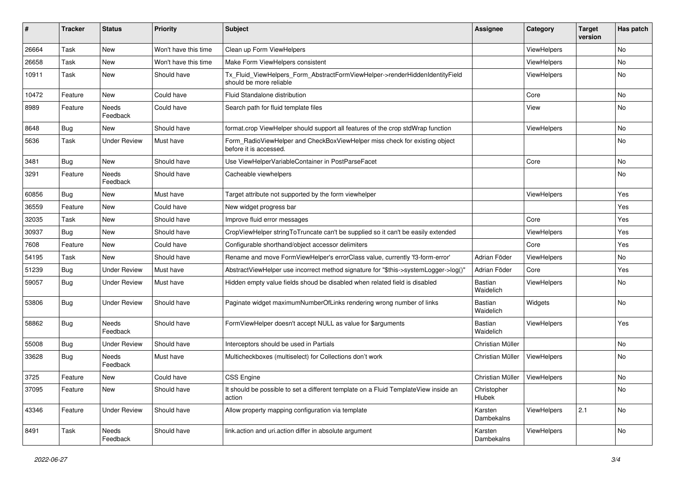| #     | <b>Tracker</b> | <b>Status</b>       | <b>Priority</b>      | Subject                                                                                                | <b>Assignee</b>             | Category           | <b>Target</b><br>version | Has patch     |
|-------|----------------|---------------------|----------------------|--------------------------------------------------------------------------------------------------------|-----------------------------|--------------------|--------------------------|---------------|
| 26664 | Task           | New                 | Won't have this time | Clean up Form ViewHelpers                                                                              |                             | ViewHelpers        |                          | No            |
| 26658 | Task           | New                 | Won't have this time | Make Form ViewHelpers consistent                                                                       |                             | ViewHelpers        |                          | No            |
| 10911 | Task           | New                 | Should have          | Tx_Fluid_ViewHelpers_Form_AbstractFormViewHelper->renderHiddenIdentityField<br>should be more reliable |                             | ViewHelpers        |                          | No            |
| 10472 | Feature        | New                 | Could have           | <b>Fluid Standalone distribution</b>                                                                   |                             | Core               |                          | No            |
| 8989  | Feature        | Needs<br>Feedback   | Could have           | Search path for fluid template files                                                                   |                             | View               |                          | No            |
| 8648  | Bug            | New                 | Should have          | format.crop ViewHelper should support all features of the crop stdWrap function                        |                             | ViewHelpers        |                          | No            |
| 5636  | Task           | Under Review        | Must have            | Form_RadioViewHelper and CheckBoxViewHelper miss check for existing object<br>before it is accessed.   |                             |                    |                          | No            |
| 3481  | Bug            | New                 | Should have          | Use ViewHelperVariableContainer in PostParseFacet                                                      |                             | Core               |                          | No            |
| 3291  | Feature        | Needs<br>Feedback   | Should have          | Cacheable viewhelpers                                                                                  |                             |                    |                          | No            |
| 60856 | Bug            | New                 | Must have            | Target attribute not supported by the form viewhelper                                                  |                             | ViewHelpers        |                          | Yes           |
| 36559 | Feature        | New                 | Could have           | New widget progress bar                                                                                |                             |                    |                          | Yes           |
| 32035 | Task           | New                 | Should have          | Improve fluid error messages                                                                           |                             | Core               |                          | Yes           |
| 30937 | Bug            | New                 | Should have          | CropViewHelper stringToTruncate can't be supplied so it can't be easily extended                       |                             | ViewHelpers        |                          | Yes           |
| 7608  | Feature        | New                 | Could have           | Configurable shorthand/object accessor delimiters                                                      |                             | Core               |                          | Yes           |
| 54195 | Task           | New                 | Should have          | Rename and move FormViewHelper's errorClass value, currently 'f3-form-error'                           | Adrian Föder                | ViewHelpers        |                          | No            |
| 51239 | Bug            | <b>Under Review</b> | Must have            | AbstractViewHelper use incorrect method signature for "\$this->systemLogger->log()"                    | Adrian Föder                | Core               |                          | Yes           |
| 59057 | Bug            | Under Review        | Must have            | Hidden empty value fields shoud be disabled when related field is disabled                             | Bastian<br>Waidelich        | ViewHelpers        |                          | No            |
| 53806 | Bug            | Under Review        | Should have          | Paginate widget maximumNumberOfLinks rendering wrong number of links                                   | <b>Bastian</b><br>Waidelich | Widgets            |                          | No            |
| 58862 | Bug            | Needs<br>Feedback   | Should have          | FormViewHelper doesn't accept NULL as value for \$arguments                                            | <b>Bastian</b><br>Waidelich | ViewHelpers        |                          | Yes           |
| 55008 | Bug            | <b>Under Review</b> | Should have          | Interceptors should be used in Partials                                                                | Christian Müller            |                    |                          | No            |
| 33628 | Bug            | Needs<br>Feedback   | Must have            | Multicheckboxes (multiselect) for Collections don't work                                               | Christian Müller            | ViewHelpers        |                          | No            |
| 3725  | Feature        | New                 | Could have           | CSS Engine                                                                                             | Christian Müller            | <b>ViewHelpers</b> |                          | No            |
| 37095 | Feature        | New                 | Should have          | It should be possible to set a different template on a Fluid TemplateView inside an<br>action          | Christopher<br>Hlubek       |                    |                          | No            |
| 43346 | Feature        | <b>Under Review</b> | Should have          | Allow property mapping configuration via template                                                      | Karsten<br>Dambekalns       | ViewHelpers        | 2.1                      | No            |
| 8491  | Task           | Needs<br>Feedback   | Should have          | link.action and uri.action differ in absolute argument                                                 | Karsten<br>Dambekalns       | ViewHelpers        |                          | $\mathsf{No}$ |